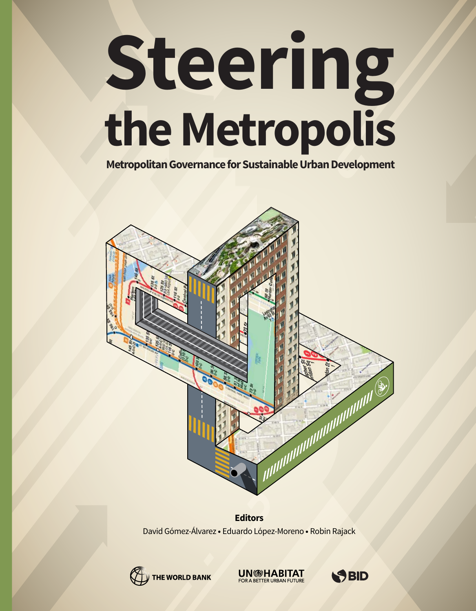# Steering the Metropolis

Metropolitan Governance for Sustainable Urban Development



**Editors** David Gómez-Álvarez · Eduardo López-Moreno · Robin Rajack



**UN<sup>®</sup>HABITAT** FOR A BETTER URBAN F

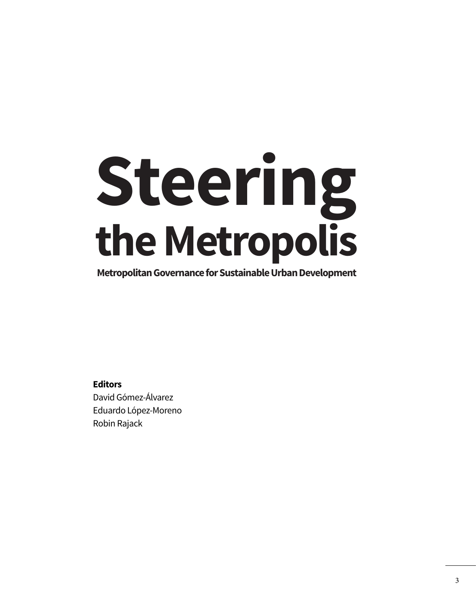## **Steering the Metropolis**

**Metropolitan Governance for Sustainable Urban Development**

**Editors** David Gómez-Álvarez Eduardo López-Moreno Robin Rajack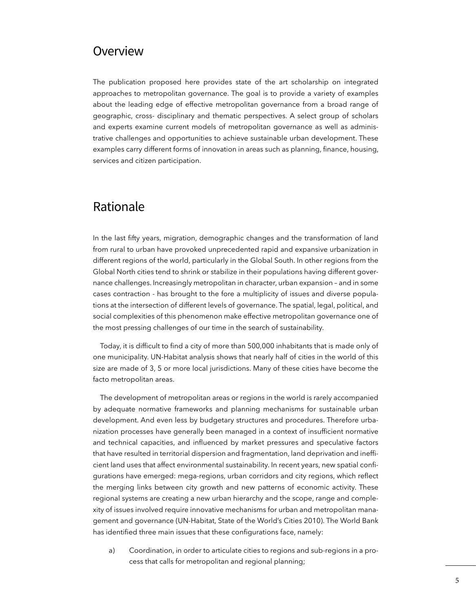## **Overview**

The publication proposed here provides state of the art scholarship on integrated approaches to metropolitan governance. The goal is to provide a variety of examples about the leading edge of effective metropolitan governance from a broad range of geographic, cross- disciplinary and thematic perspectives. A select group of scholars and experts examine current models of metropolitan governance as well as administrative challenges and opportunities to achieve sustainable urban development. These examples carry different forms of innovation in areas such as planning, fnance, housing, services and citizen participation.

### Rationale

In the last ffty years, migration, demographic changes and the transformation of land from rural to urban have provoked unprecedented rapid and expansive urbanization in different regions of the world, particularly in the Global South. In other regions from the Global North cities tend to shrink or stabilize in their populations having different governance challenges. Increasingly metropolitan in character, urban expansion – and in some cases contraction - has brought to the fore a multiplicity of issues and diverse populations at the intersection of different levels of governance. The spatial, legal, political, and social complexities of this phenomenon make effective metropolitan governance one of the most pressing challenges of our time in the search of sustainability.

Today, it is diffcult to fnd a city of more than 500,000 inhabitants that is made only of one municipality. UN-Habitat analysis shows that nearly half of cities in the world of this size are made of 3, 5 or more local jurisdictions. Many of these cities have become the facto metropolitan areas.

The development of metropolitan areas or regions in the world is rarely accompanied by adequate normative frameworks and planning mechanisms for sustainable urban development. And even less by budgetary structures and procedures. Therefore urbanization processes have generally been managed in a context of insuffcient normative and technical capacities, and infuenced by market pressures and speculative factors that have resulted in territorial dispersion and fragmentation, land deprivation and inefficient land uses that affect environmental sustainability. In recent years, new spatial confgurations have emerged: mega-regions, urban corridors and city regions, which refect the merging links between city growth and new patterns of economic activity. These regional systems are creating a new urban hierarchy and the scope, range and complexity of issues involved require innovative mechanisms for urban and metropolitan management and governance (UN-Habitat, State of the World's Cities 2010). The World Bank has identified three main issues that these configurations face, namely:

a) Coordination, in order to articulate cities to regions and sub-regions in a process that calls for metropolitan and regional planning;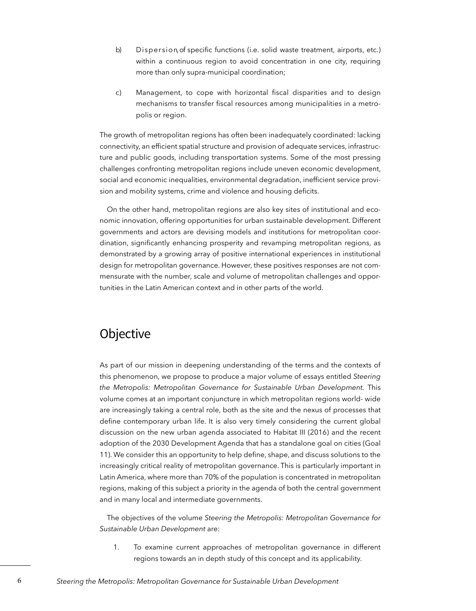- b) Dispersion, of specific functions (i.e. solid waste treatment, airports, etc.) within a continuous region to avoid concentration in one city, requiring more than only supra-municipal coordination;
- c) Management, to cope with horizontal fiscal disparities and to design mechanisms to transfer fiscal resources among municipalities in a metropolis or region.

The growth of metropolitan regions has often been inadequately coordinated: lacking connectivity, an effcient spatial structure and provision of adequate services, infrastructure and public goods, including transportation systems. Some of the most pressing challenges confronting metropolitan regions include uneven economic development, social and economic inequalities, environmental degradation, inefficient service provision and mobility systems, crime and violence and housing deficits.

On the other hand, metropolitan regions are also key sites of institutional and economic innovation, offering opportunities for urban sustainable development. Different governments and actors are devising models and institutions for metropolitan coordination, signifcantly enhancing prosperity and revamping metropolitan regions, as demonstrated by a growing array of positive international experiences in institutional design for metropolitan governance. However, these positives responses are not commensurate with the number, scale and volume of metropolitan challenges and opportunities in the Latin American context and in other parts of the world.

## **Objective**

As part of our mission in deepening understanding of the terms and the contexts of this phenomenon, we propose to produce a major volume of essays entitled *Steering the Metropolis: Metropolitan Governance for Sustainable Urban Development.* This volume comes at an important conjuncture in which metropolitan regions world- wide are increasingly taking a central role, both as the site and the nexus of processes that defne contemporary urban life. It is also very timely considering the current global discussion on the new urban agenda associated to Habitat III (2016) and the recent adoption of the 2030 Development Agenda that has a standalone goal on cities (Goal 11). We consider this an opportunity to help defne, shape, and discuss solutions to the increasingly critical reality of metropolitan governance. This is particularly important in Latin America, where more than 70% of the population is concentrated in metropolitan regions, making of this subject a priority in the agenda of both the central government and in many local and intermediate governments.

The objectives of the volume *Steering the Metropolis: Metropolitan Governance for Sustainable Urban Development* are:

1. To examine current approaches of metropolitan governance in different regions towards an in depth study of this concept and its applicability.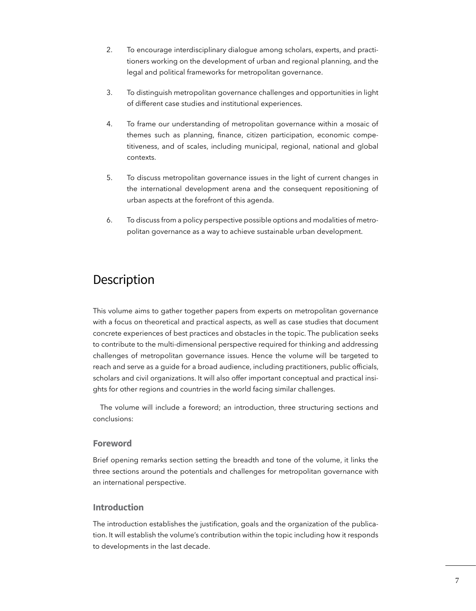- 2. To encourage interdisciplinary dialogue among scholars, experts, and practitioners working on the development of urban and regional planning, and the legal and political frameworks for metropolitan governance.
- 3. To distinguish metropolitan governance challenges and opportunities in light of different case studies and institutional experiences.
- 4. To frame our understanding of metropolitan governance within a mosaic of themes such as planning, fnance, citizen participation, economic competitiveness, and of scales, including municipal, regional, national and global contexts.
- 5. To discuss metropolitan governance issues in the light of current changes in the international development arena and the consequent repositioning of urban aspects at the forefront of this agenda.
- 6. To discuss from a policy perspective possible options and modalities of metropolitan governance as a way to achieve sustainable urban development.

## **Description**

This volume aims to gather together papers from experts on metropolitan governance with a focus on theoretical and practical aspects, as well as case studies that document concrete experiences of best practices and obstacles in the topic. The publication seeks to contribute to the multi-dimensional perspective required for thinking and addressing challenges of metropolitan governance issues. Hence the volume will be targeted to reach and serve as a guide for a broad audience, including practitioners, public officials, scholars and civil organizations. It will also offer important conceptual and practical insights for other regions and countries in the world facing similar challenges.

The volume will include a foreword; an introduction, three structuring sections and conclusions:

#### **Foreword**

Brief opening remarks section setting the breadth and tone of the volume, it links the three sections around the potentials and challenges for metropolitan governance with an international perspective.

#### **Introduction**

The introduction establishes the justifcation, goals and the organization of the publication. It will establish the volume's contribution within the topic including how it responds to developments in the last decade.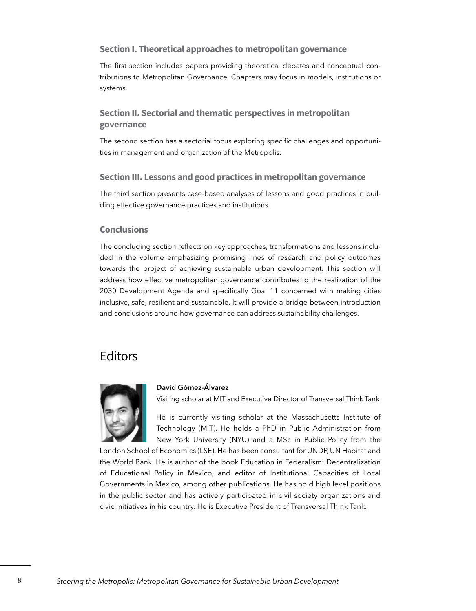#### **Section I. Theoretical approaches to metropolitan governance**

The first section includes papers providing theoretical debates and conceptual contributions to Metropolitan Governance. Chapters may focus in models, institutions or systems.

#### **Section II. Sectorial and thematic perspectives in metropolitan governance**

The second section has a sectorial focus exploring specifc challenges and opportunities in management and organization of the Metropolis.

#### **Section III. Lessons and good practices in metropolitan governance**

The third section presents case-based analyses of lessons and good practices in building effective governance practices and institutions.

#### **Conclusions**

The concluding section refects on key approaches, transformations and lessons included in the volume emphasizing promising lines of research and policy outcomes towards the project of achieving sustainable urban development. This section will address how effective metropolitan governance contributes to the realization of the 2030 Development Agenda and specifcally Goal 11 concerned with making cities inclusive, safe, resilient and sustainable. It will provide a bridge between introduction and conclusions around how governance can address sustainability challenges.

## Editors



#### **David Gómez-Álvarez**

Visiting scholar at MIT and Executive Director of Transversal Think Tank

He is currently visiting scholar at the Massachusetts Institute of Technology (MIT). He holds a PhD in Public Administration from New York University (NYU) and a MSc in Public Policy from the

London School of Economics (LSE). He has been consultant for UNDP, UN Habitat and the World Bank. He is author of the book Education in Federalism: Decentralization of Educational Policy in Mexico, and editor of Institutional Capacities of Local Governments in Mexico, among other publications. He has hold high level positions in the public sector and has actively participated in civil society organizations and civic initiatives in his country. He is Executive President of Transversal Think Tank.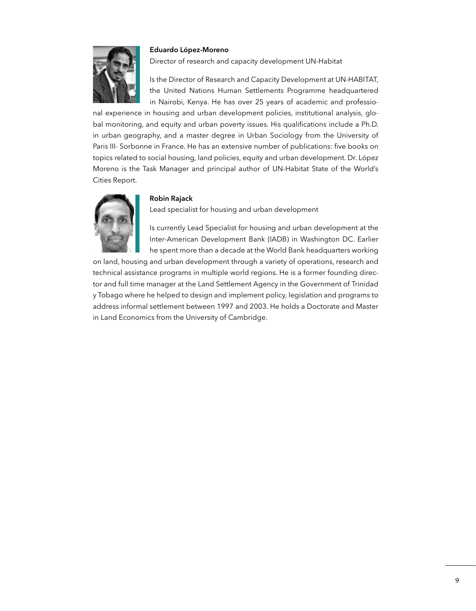#### **Eduardo López-Moreno**



Director of research and capacity development UN-Habitat

Is the Director of Research and Capacity Development at UN-HABITAT, the United Nations Human Settlements Programme headquartered in Nairobi, Kenya. He has over 25 years of academic and professio-

nal experience in housing and urban development policies, institutional analysis, global monitoring, and equity and urban poverty issues. His qualifcations include a Ph.D. in urban geography, and a master degree in Urban Sociology from the University of Paris III- Sorbonne in France. He has an extensive number of publications: five books on topics related to social housing, land policies, equity and urban development. Dr. López Moreno is the Task Manager and principal author of UN-Habitat State of the World's Cities Report.



#### **Robin Rajack**

Lead specialist for housing and urban development

Is currently Lead Specialist for housing and urban development at the Inter-American Development Bank (IADB) in Washington DC. Earlier he spent more than a decade at the World Bank headquarters working

on land, housing and urban development through a variety of operations, research and technical assistance programs in multiple world regions. He is a former founding director and full time manager at the Land Settlement Agency in the Government of Trinidad y Tobago where he helped to design and implement policy, legislation and programs to address informal settlement between 1997 and 2003. He holds a Doctorate and Master in Land Economics from the University of Cambridge.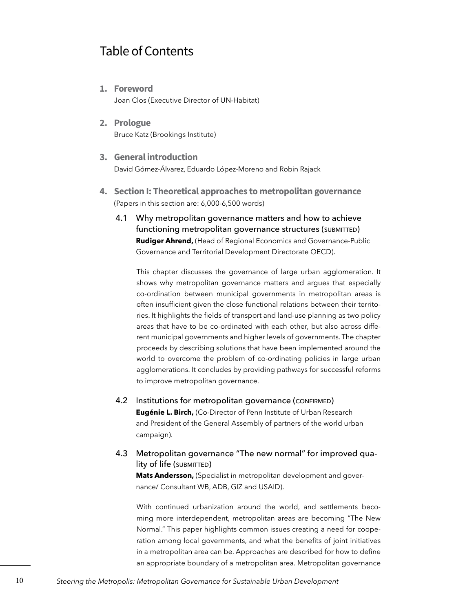## Table of Contents

**1. Foreword**

Joan Clos (Executive Director of UN-Habitat)

- **2. Prologue**  Bruce Katz (Brookings Institute)
- **3. General introduction** David Gómez-Álvarez, Eduardo López-Moreno and Robin Rajack
- **4. Section I: Theoretical approaches to metropolitan governance** (Papers in this section are: 6,000-6,500 words)
	- 4.1 Why metropolitan governance matters and how to achieve functioning metropolitan governance structures (SUBMITTED) **Rudiger Ahrend,** (Head of Regional Economics and Governance-Public Governance and Territorial Development Directorate OECD).

This chapter discusses the governance of large urban agglomeration. It shows why metropolitan governance matters and argues that especially co-ordination between municipal governments in metropolitan areas is often insufficient given the close functional relations between their territories. It highlights the fields of transport and land-use planning as two policy areas that have to be co-ordinated with each other, but also across different municipal governments and higher levels of governments. The chapter proceeds by describing solutions that have been implemented around the world to overcome the problem of co-ordinating policies in large urban agglomerations. It concludes by providing pathways for successful reforms to improve metropolitan governance.

- 4.2 Institutions for metropolitan governance (CONFIRMED) **Eugénie L. Birch,** (Co-Director of Penn Institute of Urban Research and President of the General Assembly of partners of the world urban campaign).
- 4.3 Metropolitan governance "The new normal" for improved qua $lity$  of  $life$  (submitted)

**Mats Andersson,** (Specialist in metropolitan development and governance/ Consultant WB, ADB, GIZ and USAID).

With continued urbanization around the world, and settlements becoming more interdependent, metropolitan areas are becoming "The New Normal." This paper highlights common issues creating a need for cooperation among local governments, and what the benefits of joint initiatives in a metropolitan area can be. Approaches are described for how to defne an appropriate boundary of a metropolitan area. Metropolitan governance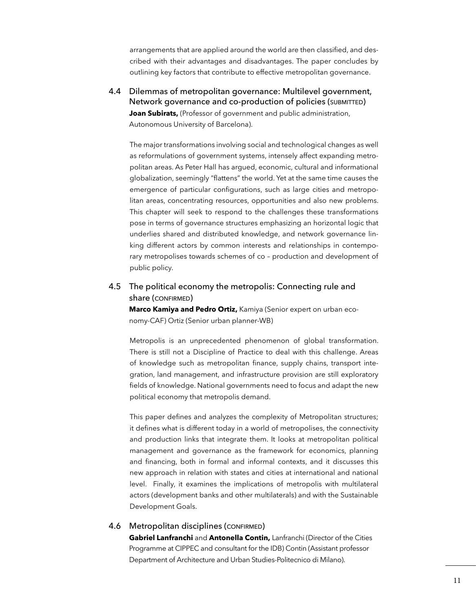arrangements that are applied around the world are then classifed, and described with their advantages and disadvantages. The paper concludes by outlining key factors that contribute to effective metropolitan governance.

4.4 Dilemmas of metropolitan governance: Multilevel government, Network governance and co-production of policies (SUBMITTED) **Joan Subirats,** (Professor of government and public administration, Autonomous University of Barcelona).

The major transformations involving social and technological changes as well as reformulations of government systems, intensely affect expanding metropolitan areas. As Peter Hall has argued, economic, cultural and informational globalization, seemingly "flattens" the world. Yet at the same time causes the emergence of particular configurations, such as large cities and metropolitan areas, concentrating resources, opportunities and also new problems. This chapter will seek to respond to the challenges these transformations pose in terms of governance structures emphasizing an horizontal logic that underlies shared and distributed knowledge, and network governance linking different actors by common interests and relationships in contemporary metropolises towards schemes of co – production and development of public policy.

#### 4.5 The political economy the metropolis: Connecting rule and share (CONFIRMED)

**Marco Kamiya and Pedro Ortiz,** Kamiya (Senior expert on urban economy-CAF) Ortiz (Senior urban planner-WB)

Metropolis is an unprecedented phenomenon of global transformation. There is still not a Discipline of Practice to deal with this challenge. Areas of knowledge such as metropolitan fnance, supply chains, transport integration, land management, and infrastructure provision are still exploratory felds of knowledge. National governments need to focus and adapt the new political economy that metropolis demand.

This paper defnes and analyzes the complexity of Metropolitan structures; it defnes what is different today in a world of metropolises, the connectivity and production links that integrate them. It looks at metropolitan political management and governance as the framework for economics, planning and fnancing, both in formal and informal contexts, and it discusses this new approach in relation with states and cities at international and national level. Finally, it examines the implications of metropolis with multilateral actors (development banks and other multilaterals) and with the Sustainable Development Goals.

#### 4.6 Metropolitan disciplines (CONFIRMED)

**Gabriel Lanfranchi** and **Antonella Contin,** Lanfranchi (Director of the Cities Programme at CIPPEC and consultant for the IDB) Contin (Assistant professor Department of Architecture and Urban Studies-Politecnico di Milano).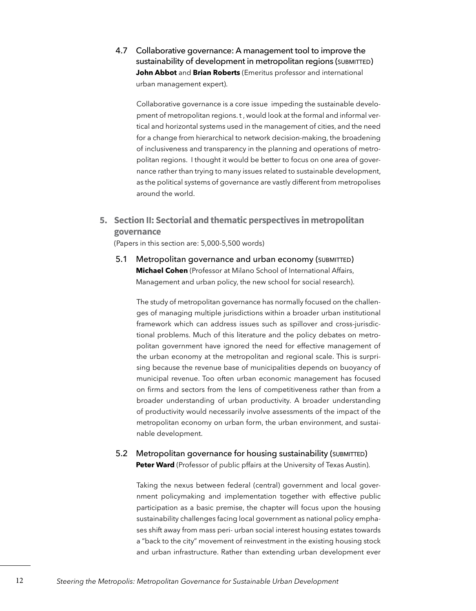4.7 Collaborative governance: A management tool to improve the sustainability of development in metropolitan regions (SUBMITTED) **John Abbot** and **Brian Roberts** (Emeritus professor and international urban management expert).

Collaborative governance is a core issue impeding the sustainable development of metropolitan regions. t , would look at the formal and informal vertical and horizontal systems used in the management of cities, and the need for a change from hierarchical to network decision-making, the broadening of inclusiveness and transparency in the planning and operations of metropolitan regions. I thought it would be better to focus on one area of governance rather than trying to many issues related to sustainable development, as the political systems of governance are vastly different from metropolises around the world.

#### **5. Section II: Sectorial and thematic perspectives in metropolitan governance**

(Papers in this section are: 5,000-5,500 words)

5.1 Metropolitan governance and urban economy (SUBMITTED) **Michael Cohen** (Professor at Milano School of International Affairs, Management and urban policy, the new school for social research).

The study of metropolitan governance has normally focused on the challenges of managing multiple jurisdictions within a broader urban institutional framework which can address issues such as spillover and cross-jurisdictional problems. Much of this literature and the policy debates on metropolitan government have ignored the need for effective management of the urban economy at the metropolitan and regional scale. This is surprising because the revenue base of municipalities depends on buoyancy of municipal revenue. Too often urban economic management has focused on firms and sectors from the lens of competitiveness rather than from a broader understanding of urban productivity. A broader understanding of productivity would necessarily involve assessments of the impact of the metropolitan economy on urban form, the urban environment, and sustainable development.

#### 5.2 Metropolitan governance for housing sustainability (SUBMITTED) **Peter Ward** (Professor of public pffairs at the University of Texas Austin).

Taking the nexus between federal (central) government and local government policymaking and implementation together with effective public participation as a basic premise, the chapter will focus upon the housing sustainability challenges facing local government as national policy emphases shift away from mass peri- urban social interest housing estates towards a "back to the city" movement of reinvestment in the existing housing stock and urban infrastructure. Rather than extending urban development ever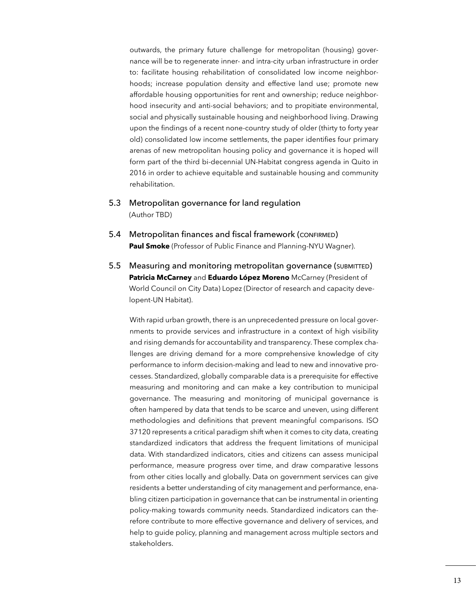outwards, the primary future challenge for metropolitan (housing) governance will be to regenerate inner- and intra-city urban infrastructure in order to: facilitate housing rehabilitation of consolidated low income neighborhoods; increase population density and effective land use; promote new affordable housing opportunities for rent and ownership; reduce neighborhood insecurity and anti-social behaviors; and to propitiate environmental, social and physically sustainable housing and neighborhood living. Drawing upon the fndings of a recent none-country study of older (thirty to forty year old) consolidated low income settlements, the paper identifies four primary arenas of new metropolitan housing policy and governance it is hoped will form part of the third bi-decennial UN-Habitat congress agenda in Quito in 2016 in order to achieve equitable and sustainable housing and community rehabilitation.

- 5.3 Metropolitan governance for land regulation (Author TBD)
- 5.4 Metropolitan finances and fiscal framework (CONFIRMED) **Paul Smoke** (Professor of Public Finance and Planning-NYU Wagner).
- 5.5 Measuring and monitoring metropolitan governance (submitted) **Patricia McCarney** and **Eduardo López Moreno** McCarney (President of World Council on City Data) Lopez (Director of research and capacity developent-UN Habitat).

With rapid urban growth, there is an unprecedented pressure on local governments to provide services and infrastructure in a context of high visibility and rising demands for accountability and transparency. These complex challenges are driving demand for a more comprehensive knowledge of city performance to inform decision-making and lead to new and innovative processes. Standardized, globally comparable data is a prerequisite for effective measuring and monitoring and can make a key contribution to municipal governance. The measuring and monitoring of municipal governance is often hampered by data that tends to be scarce and uneven, using different methodologies and definitions that prevent meaningful comparisons. ISO 37120 represents a critical paradigm shift when it comes to city data, creating standardized indicators that address the frequent limitations of municipal data. With standardized indicators, cities and citizens can assess municipal performance, measure progress over time, and draw comparative lessons from other cities locally and globally. Data on government services can give residents a better understanding of city management and performance, enabling citizen participation in governance that can be instrumental in orienting policy-making towards community needs. Standardized indicators can therefore contribute to more effective governance and delivery of services, and help to guide policy, planning and management across multiple sectors and stakeholders.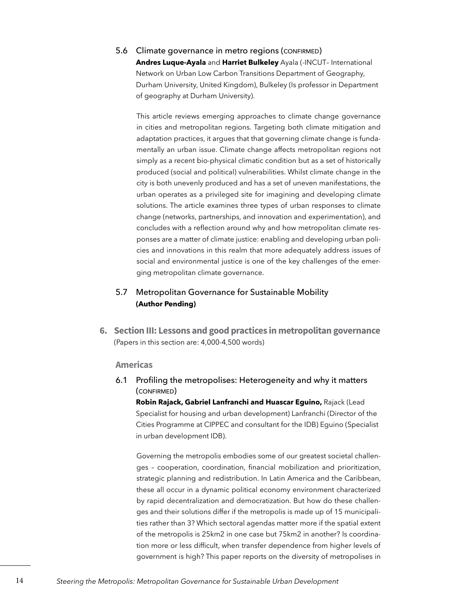5.6 Climate governance in metro regions (CONFIRMED) **Andres Luque-Ayala** and **Harriet Bulkeley** Ayala (-INCUT– International Network on Urban Low Carbon Transitions Department of Geography, Durham University, United Kingdom), Bulkeley (Is professor in Department of geography at Durham University).

This article reviews emerging approaches to climate change governance in cities and metropolitan regions. Targeting both climate mitigation and adaptation practices, it argues that that governing climate change is fundamentally an urban issue. Climate change affects metropolitan regions not simply as a recent bio-physical climatic condition but as a set of historically produced (social and political) vulnerabilities. Whilst climate change in the city is both unevenly produced and has a set of uneven manifestations, the urban operates as a privileged site for imagining and developing climate solutions. The article examines three types of urban responses to climate change (networks, partnerships, and innovation and experimentation), and concludes with a reflection around why and how metropolitan climate responses are a matter of climate justice: enabling and developing urban policies and innovations in this realm that more adequately address issues of social and environmental justice is one of the key challenges of the emerging metropolitan climate governance.

#### 5.7 Metropolitan Governance for Sustainable Mobility **(Author Pending)**

**6. Section III: Lessons and good practices in metropolitan governance**  (Papers in this section are: 4,000-4,500 words)

#### **Americas**

6.1 Profling the metropolises: Heterogeneity and why it matters (confirmed)

**Robin Rajack, Gabriel Lanfranchi and Huascar Eguino,** Rajack (Lead Specialist for housing and urban development) Lanfranchi (Director of the Cities Programme at CIPPEC and consultant for the IDB) Eguino (Specialist in urban development IDB).

Governing the metropolis embodies some of our greatest societal challenges – cooperation, coordination, fnancial mobilization and prioritization, strategic planning and redistribution. In Latin America and the Caribbean, these all occur in a dynamic political economy environment characterized by rapid decentralization and democratization. But how do these challenges and their solutions differ if the metropolis is made up of 15 municipalities rather than 3? Which sectoral agendas matter more if the spatial extent of the metropolis is 25km2 in one case but 75km2 in another? Is coordination more or less difficult, when transfer dependence from higher levels of government is high? This paper reports on the diversity of metropolises in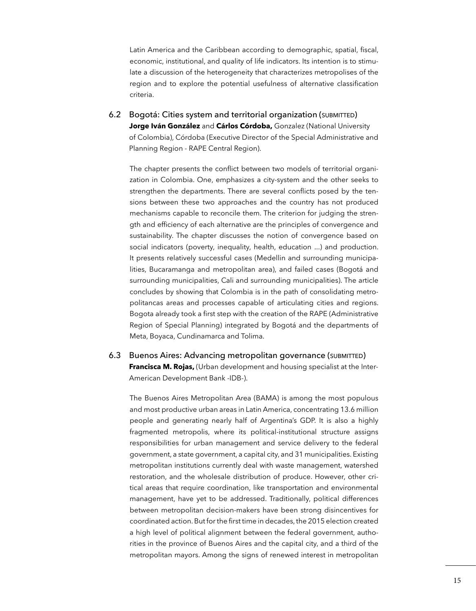Latin America and the Caribbean according to demographic, spatial, fiscal, economic, institutional, and quality of life indicators. Its intention is to stimulate a discussion of the heterogeneity that characterizes metropolises of the region and to explore the potential usefulness of alternative classifcation criteria.

6.2 Bogotá: Cities system and territorial organization (SUBMITTED) **Jorge Iván González** and **Cárlos Córdoba,** Gonzalez (National University of Colombia), Córdoba (Executive Director of the Special Administrative and Planning Region - RAPE Central Region).

The chapter presents the confict between two models of territorial organization in Colombia. One, emphasizes a city-system and the other seeks to strengthen the departments. There are several conficts posed by the tensions between these two approaches and the country has not produced mechanisms capable to reconcile them. The criterion for judging the strength and efficiency of each alternative are the principles of convergence and sustainability. The chapter discusses the notion of convergence based on social indicators (poverty, inequality, health, education ...) and production. It presents relatively successful cases (Medellin and surrounding municipalities, Bucaramanga and metropolitan area), and failed cases (Bogotá and surrounding municipalities, Cali and surrounding municipalities). The article concludes by showing that Colombia is in the path of consolidating metropolitancas areas and processes capable of articulating cities and regions. Bogota already took a frst step with the creation of the RAPE (Administrative Region of Special Planning) integrated by Bogotá and the departments of Meta, Boyaca, Cundinamarca and Tolima.

#### 6.3 Buenos Aires: Advancing metropolitan governance (submitted) **Francisca M. Rojas,** (Urban development and housing specialist at the Inter-American Development Bank -IDB-).

The Buenos Aires Metropolitan Area (BAMA) is among the most populous and most productive urban areas in Latin America, concentrating 13.6 million people and generating nearly half of Argentina's GDP. It is also a highly fragmented metropolis, where its political-institutional structure assigns responsibilities for urban management and service delivery to the federal government, a state government, a capital city, and 31 municipalities. Existing metropolitan institutions currently deal with waste management, watershed restoration, and the wholesale distribution of produce. However, other critical areas that require coordination, like transportation and environmental management, have yet to be addressed. Traditionally, political differences between metropolitan decision-makers have been strong disincentives for coordinated action. But for the frst time in decades, the 2015 election created a high level of political alignment between the federal government, authorities in the province of Buenos Aires and the capital city, and a third of the metropolitan mayors. Among the signs of renewed interest in metropolitan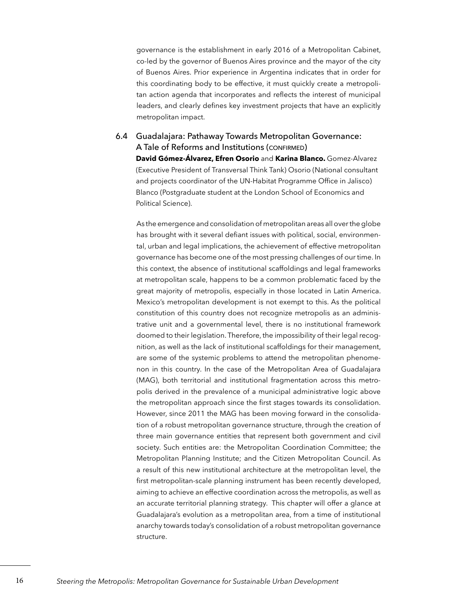governance is the establishment in early 2016 of a Metropolitan Cabinet, co-led by the governor of Buenos Aires province and the mayor of the city of Buenos Aires. Prior experience in Argentina indicates that in order for this coordinating body to be effective, it must quickly create a metropolitan action agenda that incorporates and reflects the interest of municipal leaders, and clearly defines key investment projects that have an explicitly metropolitan impact.

#### 6.4 Guadalajara: Pathaway Towards Metropolitan Governance: A Tale of Reforms and Institutions (CONFIRMED) **David Gómez-Álvarez, Efren Osorio** and **Karina Blanco.** Gomez-Alvarez (Executive President of Transversal Think Tank) Osorio (National consultant and projects coordinator of the UN-Habitat Programme Office in Jalisco) Blanco (Postgraduate student at the London School of Economics and Political Science).

As the emergence and consolidation of metropolitan areas all over the globe has brought with it several defiant issues with political, social, environmental, urban and legal implications, the achievement of effective metropolitan governance has become one of the most pressing challenges of our time. In this context, the absence of institutional scaffoldings and legal frameworks at metropolitan scale, happens to be a common problematic faced by the great majority of metropolis, especially in those located in Latin America. Mexico's metropolitan development is not exempt to this. As the political constitution of this country does not recognize metropolis as an administrative unit and a governmental level, there is no institutional framework doomed to their legislation. Therefore, the impossibility of their legal recognition, as well as the lack of institutional scaffoldings for their management, are some of the systemic problems to attend the metropolitan phenomenon in this country. In the case of the Metropolitan Area of Guadalajara (MAG), both territorial and institutional fragmentation across this metropolis derived in the prevalence of a municipal administrative logic above the metropolitan approach since the first stages towards its consolidation. However, since 2011 the MAG has been moving forward in the consolidation of a robust metropolitan governance structure, through the creation of three main governance entities that represent both government and civil society. Such entities are: the Metropolitan Coordination Committee; the Metropolitan Planning Institute; and the Citizen Metropolitan Council. As a result of this new institutional architecture at the metropolitan level, the first metropolitan-scale planning instrument has been recently developed, aiming to achieve an effective coordination across the metropolis, as well as an accurate territorial planning strategy. This chapter will offer a glance at Guadalajara's evolution as a metropolitan area, from a time of institutional anarchy towards today's consolidation of a robust metropolitan governance structure.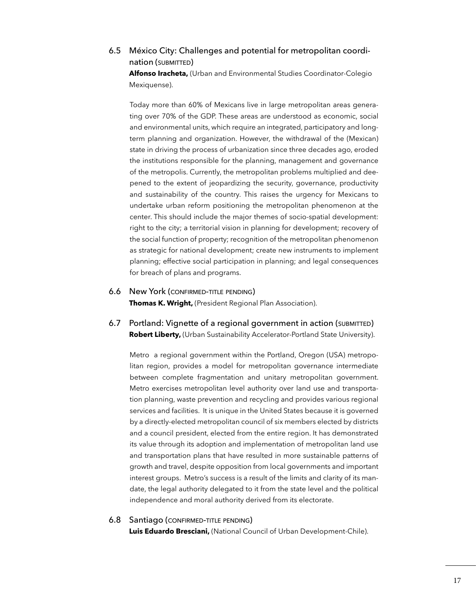#### 6.5 México City: Challenges and potential for metropolitan coordination (SUBMITTED)

**Alfonso Iracheta,** (Urban and Environmental Studies Coordinator-Colegio Mexiquense).

Today more than 60% of Mexicans live in large metropolitan areas generating over 70% of the GDP. These areas are understood as economic, social and environmental units, which require an integrated, participatory and longterm planning and organization. However, the withdrawal of the (Mexican) state in driving the process of urbanization since three decades ago, eroded the institutions responsible for the planning, management and governance of the metropolis. Currently, the metropolitan problems multiplied and deepened to the extent of jeopardizing the security, governance, productivity and sustainability of the country. This raises the urgency for Mexicans to undertake urban reform positioning the metropolitan phenomenon at the center. This should include the major themes of socio-spatial development: right to the city; a territorial vision in planning for development; recovery of the social function of property; recognition of the metropolitan phenomenon as strategic for national development; create new instruments to implement planning; effective social participation in planning; and legal consequences for breach of plans and programs.

- 6.6 New York (confirmed-title pending) **Thomas K. Wright,** (President Regional Plan Association).
- 6.7 Portland: Vignette of a regional government in action (submitted) **Robert Liberty, (Urban Sustainability Accelerator-Portland State University).**

Metro a regional government within the Portland, Oregon (USA) metropolitan region, provides a model for metropolitan governance intermediate between complete fragmentation and unitary metropolitan government. Metro exercises metropolitan level authority over land use and transportation planning, waste prevention and recycling and provides various regional services and facilities. It is unique in the United States because it is governed by a directly-elected metropolitan council of six members elected by districts and a council president, elected from the entire region. It has demonstrated its value through its adoption and implementation of metropolitan land use and transportation plans that have resulted in more sustainable patterns of growth and travel, despite opposition from local governments and important interest groups. Metro's success is a result of the limits and clarity of its mandate, the legal authority delegated to it from the state level and the political independence and moral authority derived from its electorate.

#### 6.8 Santiago (CONFIRMED-TITLE PENDING)

**Luis Eduardo Bresciani,** (National Council of Urban Development-Chile).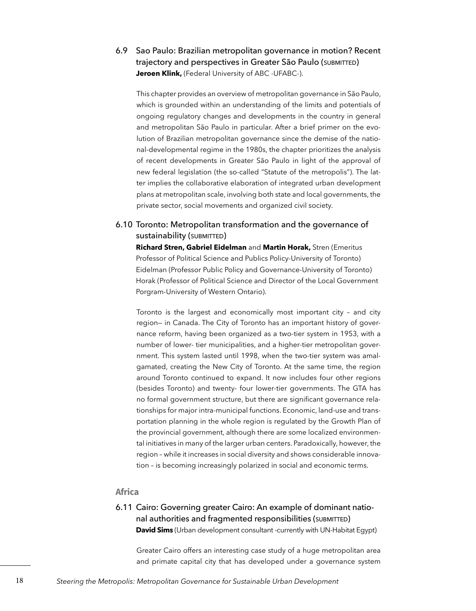6.9 Sao Paulo: Brazilian metropolitan governance in motion? Recent trajectory and perspectives in Greater São Paulo (SUBMITTED) **Jeroen Klink,** (Federal University of ABC -UFABC-).

This chapter provides an overview of metropolitan governance in São Paulo, which is grounded within an understanding of the limits and potentials of ongoing regulatory changes and developments in the country in general and metropolitan São Paulo in particular. After a brief primer on the evolution of Brazilian metropolitan governance since the demise of the national-developmental regime in the 1980s, the chapter prioritizes the analysis of recent developments in Greater São Paulo in light of the approval of new federal legislation (the so-called "Statute of the metropolis"). The latter implies the collaborative elaboration of integrated urban development plans at metropolitan scale, involving both state and local governments, the private sector, social movements and organized civil society.

#### 6.10 Toronto: Metropolitan transformation and the governance of sustainability (SUBMITTED)

**Richard Stren, Gabriel Eidelman** and **Martin Horak,** Stren (Emeritus Professor of Political Science and Publics Policy-University of Toronto) Eidelman (Professor Public Policy and Governance-University of Toronto) Horak (Professor of Political Science and Director of the Local Government Porgram-University of Western Ontario).

Toronto is the largest and economically most important city – and city region— in Canada. The City of Toronto has an important history of governance reform, having been organized as a two-tier system in 1953, with a number of lower- tier municipalities, and a higher-tier metropolitan government. This system lasted until 1998, when the two-tier system was amalgamated, creating the New City of Toronto. At the same time, the region around Toronto continued to expand. It now includes four other regions (besides Toronto) and twenty- four lower-tier governments. The GTA has no formal government structure, but there are signifcant governance relationships for major intra-municipal functions. Economic, land-use and transportation planning in the whole region is regulated by the Growth Plan of the provincial government, although there are some localized environmental initiatives in many of the larger urban centers. Paradoxically, however, the region – while it increases in social diversity and shows considerable innovation – is becoming increasingly polarized in social and economic terms.

#### **Africa**

#### 6.11 Cairo: Governing greater Cairo: An example of dominant national authorities and fragmented responsibilities (SUBMITTED) **David Sims** (Urban development consultant -currently with UN-Habitat Egypt)

Greater Cairo offers an interesting case study of a huge metropolitan area and primate capital city that has developed under a governance system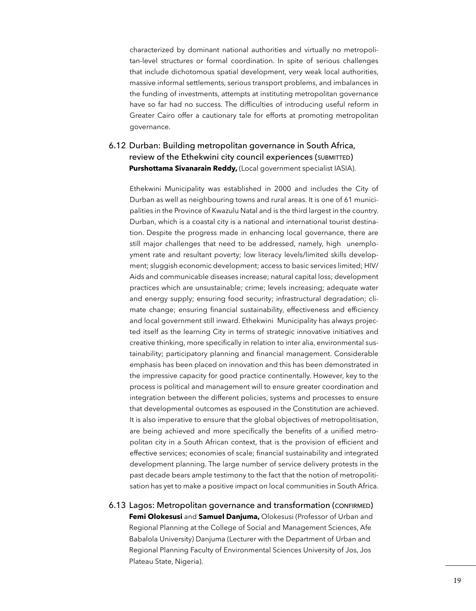characterized by dominant national authorities and virtually no metropolitan-level structures or formal coordination. In spite of serious challenges that include dichotomous spatial development, very weak local authorities, massive informal settlements, serious transport problems, and imbalances in the funding of investments, attempts at instituting metropolitan governance have so far had no success. The difficulties of introducing useful reform in Greater Cairo offer a cautionary tale for efforts at promoting metropolitan governance.

#### 6.12 Durban: Building metropolitan governance in South Africa, review of the Ethekwini city council experiences (SUBMITTED) **Purshottama Sivanarain Reddy,** (Local government specialist IASIA).

Ethekwini Municipality was established in 2000 and includes the City of Durban as well as neighbouring towns and rural areas. It is one of 61 municipalities in the Province of Kwazulu Natal and is the third largest in the country. Durban, which is a coastal city is a national and international tourist destination. Despite the progress made in enhancing local governance, there are still major challenges that need to be addressed, namely, high unemployment rate and resultant poverty; low literacy levels/limited skills development; sluggish economic development; access to basic services limited; HIV/ Aids and communicable diseases increase; natural capital loss; development practices which are unsustainable; crime; levels increasing; adequate water and energy supply; ensuring food security; infrastructural degradation; climate change; ensuring financial sustainability, effectiveness and efficiency and local government still inward. Ethekwini Municipality has always projected itself as the learning City in terms of strategic innovative initiatives and creative thinking, more specifically in relation to inter alia, environmental sustainability; participatory planning and fnancial management. Considerable emphasis has been placed on innovation and this has been demonstrated in the impressive capacity for good practice continentally. However, key to the process is political and management will to ensure greater coordination and integration between the different policies, systems and processes to ensure that developmental outcomes as espoused in the Constitution are achieved. It is also imperative to ensure that the global objectives of metropolitisation, are being achieved and more specifically the benefits of a unified metropolitan city in a South African context, that is the provision of efficient and effective services; economies of scale; fnancial sustainability and integrated development planning. The large number of service delivery protests in the past decade bears ample testimony to the fact that the notion of metropolitisation has yet to make a positive impact on local communities in South Africa.

6.13 Lagos: Metropolitan governance and transformation (confirmed) **Femi Olokesusi** and **Samuel Danjuma,** Olokesusi (Professor of Urban and Regional Planning at the College of Social and Management Sciences, Afe Babalola University) Danjuma (Lecturer with the Department of Urban and Regional Planning Faculty of Environmental Sciences University of Jos, Jos Plateau State, Nigeria).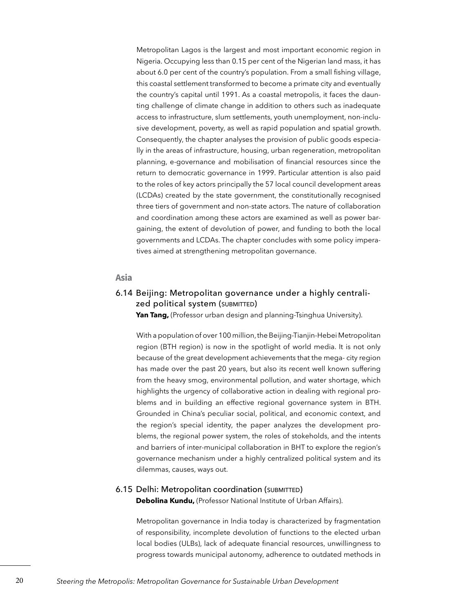Metropolitan Lagos is the largest and most important economic region in Nigeria. Occupying less than 0.15 per cent of the Nigerian land mass, it has about 6.0 per cent of the country's population. From a small fishing village, this coastal settlement transformed to become a primate city and eventually the country's capital until 1991. As a coastal metropolis, it faces the daunting challenge of climate change in addition to others such as inadequate access to infrastructure, slum settlements, youth unemployment, non-inclusive development, poverty, as well as rapid population and spatial growth. Consequently, the chapter analyses the provision of public goods especially in the areas of infrastructure, housing, urban regeneration, metropolitan planning, e-governance and mobilisation of fnancial resources since the return to democratic governance in 1999. Particular attention is also paid to the roles of key actors principally the 57 local council development areas (LCDAs) created by the state government, the constitutionally recognised three tiers of government and non-state actors. The nature of collaboration and coordination among these actors are examined as well as power bargaining, the extent of devolution of power, and funding to both the local governments and LCDAs. The chapter concludes with some policy imperatives aimed at strengthening metropolitan governance.

#### **Asia**

#### 6.14 Beijing: Metropolitan governance under a highly centralized political system (SUBMITTED)

Yan Tang, (Professor urban design and planning-Tsinghua University).

With a population of over 100 million, the Beijing-Tianjin-Hebei Metropolitan region (BTH region) is now in the spotlight of world media. It is not only because of the great development achievements that the mega- city region has made over the past 20 years, but also its recent well known suffering from the heavy smog, environmental pollution, and water shortage, which highlights the urgency of collaborative action in dealing with regional problems and in building an effective regional governance system in BTH. Grounded in China's peculiar social, political, and economic context, and the region's special identity, the paper analyzes the development problems, the regional power system, the roles of stokeholds, and the intents and barriers of inter-municipal collaboration in BHT to explore the region's governance mechanism under a highly centralized political system and its dilemmas, causes, ways out.

#### 6.15 Delhi: Metropolitan coordination (SUBMITTED) **Debolina Kundu,** (Professor National Institute of Urban Affairs).

Metropolitan governance in India today is characterized by fragmentation of responsibility, incomplete devolution of functions to the elected urban local bodies (ULBs), lack of adequate fnancial resources, unwillingness to progress towards municipal autonomy, adherence to outdated methods in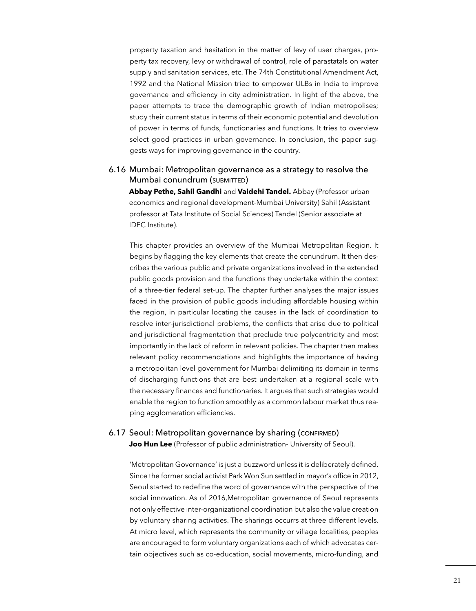property taxation and hesitation in the matter of levy of user charges, property tax recovery, levy or withdrawal of control, role of parastatals on water supply and sanitation services, etc. The 74th Constitutional Amendment Act, 1992 and the National Mission tried to empower ULBs in India to improve governance and efficiency in city administration. In light of the above, the paper attempts to trace the demographic growth of Indian metropolises; study their current status in terms of their economic potential and devolution of power in terms of funds, functionaries and functions. It tries to overview select good practices in urban governance. In conclusion, the paper suggests ways for improving governance in the country.

#### 6.16 Mumbai: Metropolitan governance as a strategy to resolve the Mumbai conundrum (SUBMITTED)

**Abbay Pethe, Sahil Gandhi** and **Vaidehi Tandel.** Abbay (Professor urban economics and regional development-Mumbai University) Sahil (Assistant professor at Tata Institute of Social Sciences) Tandel (Senior associate at IDFC Institute).

This chapter provides an overview of the Mumbai Metropolitan Region. It begins by flagging the key elements that create the conundrum. It then describes the various public and private organizations involved in the extended public goods provision and the functions they undertake within the context of a three-tier federal set-up. The chapter further analyses the major issues faced in the provision of public goods including affordable housing within the region, in particular locating the causes in the lack of coordination to resolve inter-jurisdictional problems, the conficts that arise due to political and jurisdictional fragmentation that preclude true polycentricity and most importantly in the lack of reform in relevant policies. The chapter then makes relevant policy recommendations and highlights the importance of having a metropolitan level government for Mumbai delimiting its domain in terms of discharging functions that are best undertaken at a regional scale with the necessary fnances and functionaries. It argues that such strategies would enable the region to function smoothly as a common labour market thus reaping agglomeration efficiencies.

#### 6.17 Seoul: Metropolitan governance by sharing (confirmed)

**Joo Hun Lee** (Professor of public administration- University of Seoul).

'Metropolitan Governance' is just a buzzword unless it is deliberately defned. Since the former social activist Park Won Sun settled in mayor's office in 2012, Seoul started to redefne the word of governance with the perspective of the social innovation. As of 2016,Metropolitan governance of Seoul represents not only effective inter-organizational coordination but also the value creation by voluntary sharing activities. The sharings occurrs at three different levels. At micro level, which represents the community or village localities, peoples are encouraged to form voluntary organizations each of which advocates certain objectives such as co-education, social movements, micro-funding, and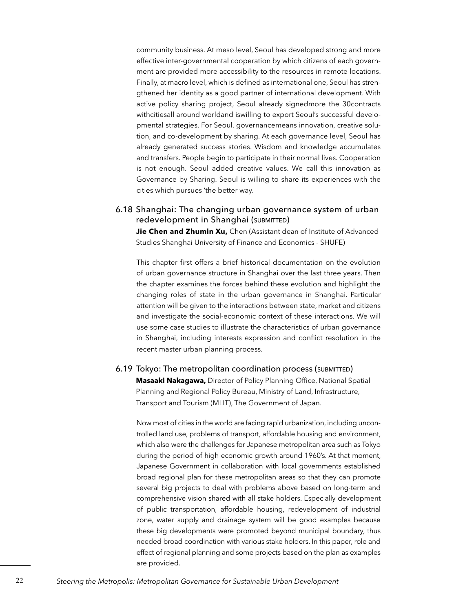community business. At meso level, Seoul has developed strong and more effective inter-governmental cooperation by which citizens of each government are provided more accessibility to the resources in remote locations. Finally, at macro level, which is defned as international one, Seoul has strengthened her identity as a good partner of international development. With active policy sharing project, Seoul already signedmore the 30contracts withcitiesall around worldand iswilling to export Seoul's successful developmental strategies. For Seoul. governancemeans innovation, creative solution, and co-development by sharing. At each governance level, Seoul has already generated success stories. Wisdom and knowledge accumulates and transfers. People begin to participate in their normal lives. Cooperation is not enough. Seoul added creative values. We call this innovation as Governance by Sharing. Seoul is willing to share its experiences with the cities which pursues 'the better way.

#### 6.18 Shanghai: The changing urban governance system of urban redevelopment in Shanghai (SUBMITTED)

**Jie Chen and Zhumin Xu,** Chen (Assistant dean of Institute of Advanced Studies Shanghai University of Finance and Economics - SHUFE)

This chapter first offers a brief historical documentation on the evolution of urban governance structure in Shanghai over the last three years. Then the chapter examines the forces behind these evolution and highlight the changing roles of state in the urban governance in Shanghai. Particular attention will be given to the interactions between state, market and citizens and investigate the social-economic context of these interactions. We will use some case studies to illustrate the characteristics of urban governance in Shanghai, including interests expression and confict resolution in the recent master urban planning process.

#### 6.19 Tokyo: The metropolitan coordination process (SUBMITTED)

**Masaaki Nakagawa, Director of Policy Planning Office, National Spatial** Planning and Regional Policy Bureau, Ministry of Land, Infrastructure, Transport and Tourism (MLIT), The Government of Japan.

Now most of cities in the world are facing rapid urbanization, including uncontrolled land use, problems of transport, affordable housing and environment, which also were the challenges for Japanese metropolitan area such as Tokyo during the period of high economic growth around 1960's. At that moment, Japanese Government in collaboration with local governments established broad regional plan for these metropolitan areas so that they can promote several big projects to deal with problems above based on long-term and comprehensive vision shared with all stake holders. Especially development of public transportation, affordable housing, redevelopment of industrial zone, water supply and drainage system will be good examples because these big developments were promoted beyond municipal boundary, thus needed broad coordination with various stake holders. In this paper, role and effect of regional planning and some projects based on the plan as examples are provided.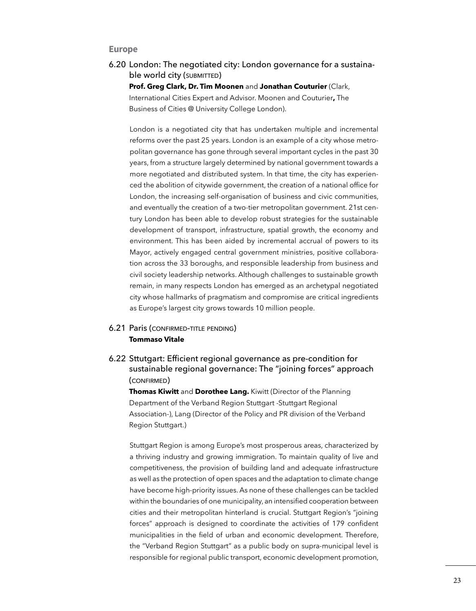#### **Europe**

6.20 London: The negotiated city: London governance for a sustainable world city (SUBMITTED)

**Prof. Greg Clark, Dr. Tim Moonen** and **Jonathan Couturier** (Clark, International Cities Expert and Advisor. Moonen and Couturier**,** The Business of Cities @ University College London).

London is a negotiated city that has undertaken multiple and incremental reforms over the past 25 years. London is an example of a city whose metropolitan governance has gone through several important cycles in the past 30 years, from a structure largely determined by national government towards a more negotiated and distributed system. In that time, the city has experienced the abolition of citywide government, the creation of a national office for London, the increasing self-organisation of business and civic communities, and eventually the creation of a two-tier metropolitan government. 21st century London has been able to develop robust strategies for the sustainable development of transport, infrastructure, spatial growth, the economy and environment. This has been aided by incremental accrual of powers to its Mayor, actively engaged central government ministries, positive collaboration across the 33 boroughs, and responsible leadership from business and civil society leadership networks. Although challenges to sustainable growth remain, in many respects London has emerged as an archetypal negotiated city whose hallmarks of pragmatism and compromise are critical ingredients as Europe's largest city grows towards 10 million people.

#### **6.21 Paris (CONFIRMED-TITLE PENDING) Tommaso Vitale**

6.22 Sttutgart: Efficient regional governance as pre-condition for sustainable regional governance: The "joining forces" approach (confirmed)

**Thomas Kiwitt** and **Dorothee Lang.** Kiwitt (Director of the Planning Department of the Verband Region Stuttgart -Stuttgart Regional Association-), Lang (Director of the Policy and PR division of the Verband Region Stuttgart.)

Stuttgart Region is among Europe's most prosperous areas, characterized by a thriving industry and growing immigration. To maintain quality of live and competitiveness, the provision of building land and adequate infrastructure as well as the protection of open spaces and the adaptation to climate change have become high-priority issues. As none of these challenges can be tackled within the boundaries of one municipality, an intensifed cooperation between cities and their metropolitan hinterland is crucial. Stuttgart Region's "joining forces" approach is designed to coordinate the activities of 179 confident municipalities in the field of urban and economic development. Therefore, the "Verband Region Stuttgart" as a public body on supra-municipal level is responsible for regional public transport, economic development promotion,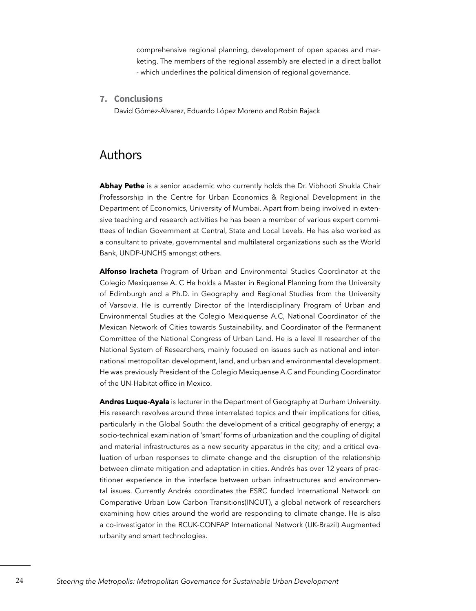comprehensive regional planning, development of open spaces and marketing. The members of the regional assembly are elected in a direct ballot - which underlines the political dimension of regional governance.

**7. Conclusions**

David Gómez-Álvarez, Eduardo López Moreno and Robin Rajack

## Authors

**Abhay Pethe** is a senior academic who currently holds the Dr. Vibhooti Shukla Chair Professorship in the Centre for Urban Economics & Regional Development in the Department of Economics, University of Mumbai. Apart from being involved in extensive teaching and research activities he has been a member of various expert committees of Indian Government at Central, State and Local Levels. He has also worked as a consultant to private, governmental and multilateral organizations such as the World Bank, UNDP-UNCHS amongst others.

**Alfonso Iracheta** Program of Urban and Environmental Studies Coordinator at the Colegio Mexiquense A. C He holds a Master in Regional Planning from the University of Edimburgh and a Ph.D. in Geography and Regional Studies from the University of Varsovia. He is currently Director of the Interdisciplinary Program of Urban and Environmental Studies at the Colegio Mexiquense A.C, National Coordinator of the Mexican Network of Cities towards Sustainability, and Coordinator of the Permanent Committee of the National Congress of Urban Land. He is a level II researcher of the National System of Researchers, mainly focused on issues such as national and international metropolitan development, land, and urban and environmental development. He was previously President of the Colegio Mexiquense A.C and Founding Coordinator of the UN-Habitat office in Mexico.

**Andres Luque-Ayala** is lecturer in the Department of Geography at Durham University. His research revolves around three interrelated topics and their implications for cities, particularly in the Global South: the development of a critical geography of energy; a socio-technical examination of 'smart' forms of urbanization and the coupling of digital and material infrastructures as a new security apparatus in the city; and a critical evaluation of urban responses to climate change and the disruption of the relationship between climate mitigation and adaptation in cities. Andrés has over 12 years of practitioner experience in the interface between urban infrastructures and environmental issues. Currently Andrés coordinates the ESRC funded International Network on Comparative Urban Low Carbon Transitions(INCUT), a global network of researchers examining how cities around the world are responding to climate change. He is also a co-investigator in the RCUK-CONFAP International Network (UK-Brazil) Augmented urbanity and smart technologies.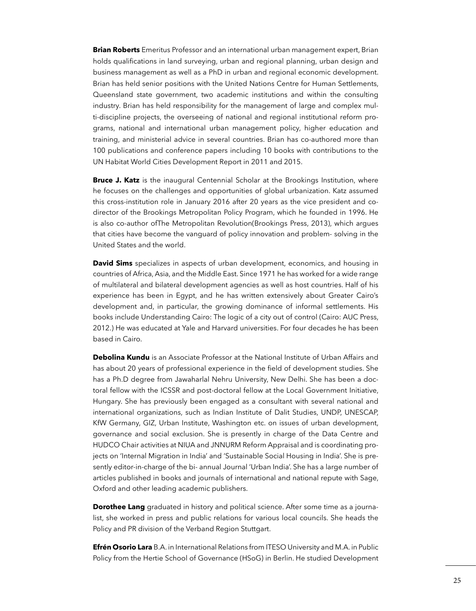**Brian Roberts** Emeritus Professor and an international urban management expert, Brian holds qualifcations in land surveying, urban and regional planning, urban design and business management as well as a PhD in urban and regional economic development. Brian has held senior positions with the United Nations Centre for Human Settlements, Queensland state government, two academic institutions and within the consulting industry. Brian has held responsibility for the management of large and complex multi-discipline projects, the overseeing of national and regional institutional reform programs, national and international urban management policy, higher education and training, and ministerial advice in several countries. Brian has co-authored more than 100 publications and conference papers including 10 books with contributions to the UN Habitat World Cities Development Report in 2011 and 2015.

**Bruce J. Katz** is the inaugural Centennial Scholar at the Brookings Institution, where he focuses on the challenges and opportunities of global urbanization. Katz assumed this cross-institution role in January 2016 after 20 years as the vice president and codirector of the Brookings Metropolitan Policy Program, which he founded in 1996. He is also co-author ofThe Metropolitan Revolution(Brookings Press, 2013), which argues that cities have become the vanguard of policy innovation and problem- solving in the United States and the world.

**David Sims** specializes in aspects of urban development, economics, and housing in countries of Africa, Asia, and the Middle East. Since 1971 he has worked for a wide range of multilateral and bilateral development agencies as well as host countries. Half of his experience has been in Egypt, and he has written extensively about Greater Cairo's development and, in particular, the growing dominance of informal settlements. His books include Understanding Cairo: The logic of a city out of control (Cairo: AUC Press, 2012.) He was educated at Yale and Harvard universities. For four decades he has been based in Cairo.

**Debolina Kundu** is an Associate Professor at the National Institute of Urban Affairs and has about 20 years of professional experience in the feld of development studies. She has a Ph.D degree from Jawaharlal Nehru University, New Delhi. She has been a doctoral fellow with the ICSSR and post-doctoral fellow at the Local Government Initiative, Hungary. She has previously been engaged as a consultant with several national and international organizations, such as Indian Institute of Dalit Studies, UNDP, UNESCAP, KfW Germany, GIZ, Urban Institute, Washington etc. on issues of urban development, governance and social exclusion. She is presently in charge of the Data Centre and HUDCO Chair activities at NIUA and JNNURM Reform Appraisal and is coordinating projects on 'Internal Migration in India' and 'Sustainable Social Housing in India'. She is presently editor-in-charge of the bi- annual Journal 'Urban India'. She has a large number of articles published in books and journals of international and national repute with Sage, Oxford and other leading academic publishers.

**Dorothee Lang** graduated in history and political science. After some time as a journalist, she worked in press and public relations for various local councils. She heads the Policy and PR division of the Verband Region Stuttgart.

**Efrén Osorio Lara** B.A. in International Relations from ITESO University and M.A. in Public Policy from the Hertie School of Governance (HSoG) in Berlin. He studied Development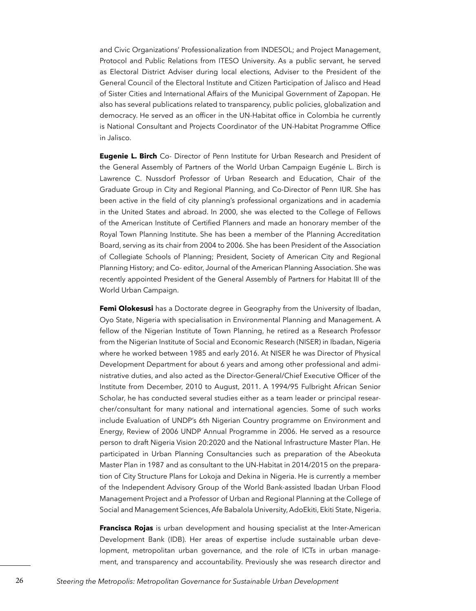and Civic Organizations' Professionalization from INDESOL; and Project Management, Protocol and Public Relations from ITESO University. As a public servant, he served as Electoral District Adviser during local elections, Adviser to the President of the General Council of the Electoral Institute and Citizen Participation of Jalisco and Head of Sister Cities and International Affairs of the Municipal Government of Zapopan. He also has several publications related to transparency, public policies, globalization and democracy. He served as an officer in the UN-Habitat office in Colombia he currently is National Consultant and Projects Coordinator of the UN-Habitat Programme Office in Jalisco.

**Eugenie L. Birch** Co- Director of Penn Institute for Urban Research and President of the General Assembly of Partners of the World Urban Campaign Eugénie L. Birch is Lawrence C. Nussdorf Professor of Urban Research and Education, Chair of the Graduate Group in City and Regional Planning, and Co-Director of Penn IUR. She has been active in the feld of city planning's professional organizations and in academia in the United States and abroad. In 2000, she was elected to the College of Fellows of the American Institute of Certifed Planners and made an honorary member of the Royal Town Planning Institute. She has been a member of the Planning Accreditation Board, serving as its chair from 2004 to 2006. She has been President of the Association of Collegiate Schools of Planning; President, Society of American City and Regional Planning History; and Co- editor, Journal of the American Planning Association. She was recently appointed President of the General Assembly of Partners for Habitat III of the World Urban Campaign.

**Femi Olokesusi** has a Doctorate degree in Geography from the University of Ibadan, Oyo State, Nigeria with specialisation in Environmental Planning and Management. A fellow of the Nigerian Institute of Town Planning, he retired as a Research Professor from the Nigerian Institute of Social and Economic Research (NISER) in Ibadan, Nigeria where he worked between 1985 and early 2016. At NISER he was Director of Physical Development Department for about 6 years and among other professional and administrative duties, and also acted as the Director-General/Chief Executive Officer of the Institute from December, 2010 to August, 2011. A 1994/95 Fulbright African Senior Scholar, he has conducted several studies either as a team leader or principal researcher/consultant for many national and international agencies. Some of such works include Evaluation of UNDP's 6th Nigerian Country programme on Environment and Energy, Review of 2006 UNDP Annual Programme in 2006. He served as a resource person to draft Nigeria Vision 20:2020 and the National Infrastructure Master Plan. He participated in Urban Planning Consultancies such as preparation of the Abeokuta Master Plan in 1987 and as consultant to the UN-Habitat in 2014/2015 on the preparation of City Structure Plans for Lokoja and Dekina in Nigeria. He is currently a member of the Independent Advisory Group of the World Bank-assisted Ibadan Urban Flood Management Project and a Professor of Urban and Regional Planning at the College of Social and Management Sciences, Afe Babalola University, AdoEkiti, Ekiti State, Nigeria.

**Francisca Rojas** is urban development and housing specialist at the Inter-American Development Bank (IDB). Her areas of expertise include sustainable urban development, metropolitan urban governance, and the role of ICTs in urban management, and transparency and accountability. Previously she was research director and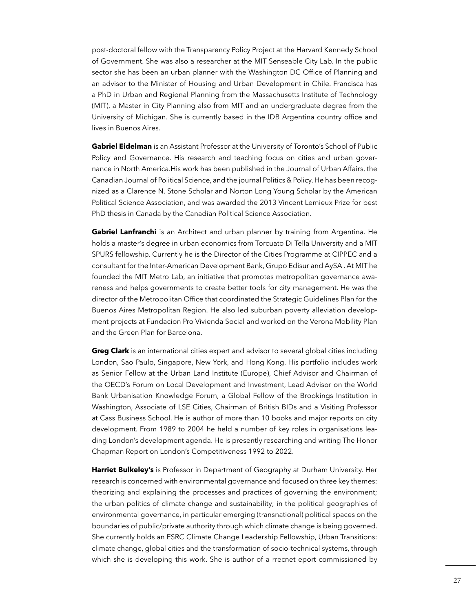post-doctoral fellow with the Transparency Policy Project at the Harvard Kennedy School of Government. She was also a researcher at the MIT Senseable City Lab. In the public sector she has been an urban planner with the Washington DC Office of Planning and an advisor to the Minister of Housing and Urban Development in Chile. Francisca has a PhD in Urban and Regional Planning from the Massachusetts Institute of Technology (MIT), a Master in City Planning also from MIT and an undergraduate degree from the University of Michigan. She is currently based in the IDB Argentina country office and lives in Buenos Aires.

**Gabriel Eidelman** is an Assistant Professor at the University of Toronto's School of Public Policy and Governance. His research and teaching focus on cities and urban governance in North America.His work has been published in the Journal of Urban Affairs, the Canadian Journal of Political Science, and the journal Politics & Policy. He has been recognized as a Clarence N. Stone Scholar and Norton Long Young Scholar by the American Political Science Association, and was awarded the 2013 Vincent Lemieux Prize for best PhD thesis in Canada by the Canadian Political Science Association.

**Gabriel Lanfranchi** is an Architect and urban planner by training from Argentina. He holds a master's degree in urban economics from Torcuato Di Tella University and a MIT SPURS fellowship. Currently he is the Director of the Cities Programme at CIPPEC and a consultant for the Inter-American Development Bank, Grupo Edisur and AySA . At MIT he founded the MIT Metro Lab, an initiative that promotes metropolitan governance awareness and helps governments to create better tools for city management. He was the director of the Metropolitan Office that coordinated the Strategic Guidelines Plan for the Buenos Aires Metropolitan Region. He also led suburban poverty alleviation development projects at Fundacion Pro Vivienda Social and worked on the Verona Mobility Plan and the Green Plan for Barcelona.

**Greg Clark** is an international cities expert and advisor to several global cities including London, Sao Paulo, Singapore, New York, and Hong Kong. His portfolio includes work as Senior Fellow at the Urban Land Institute (Europe), Chief Advisor and Chairman of the OECD's Forum on Local Development and Investment, Lead Advisor on the World Bank Urbanisation Knowledge Forum, a Global Fellow of the Brookings Institution in Washington, Associate of LSE Cities, Chairman of British BIDs and a Visiting Professor at Cass Business School. He is author of more than 10 books and major reports on city development. From 1989 to 2004 he held a number of key roles in organisations leading London's development agenda. He is presently researching and writing The Honor Chapman Report on London's Competitiveness 1992 to 2022.

**Harriet Bulkeley's** is Professor in Department of Geography at Durham University. Her research is concerned with environmental governance and focused on three key themes: theorizing and explaining the processes and practices of governing the environment; the urban politics of climate change and sustainability; in the political geographies of environmental governance, in particular emerging (transnational) political spaces on the boundaries of public/private authority through which climate change is being governed. She currently holds an ESRC Climate Change Leadership Fellowship, Urban Transitions: climate change, global cities and the transformation of socio-technical systems, through which she is developing this work. She is author of a rrecnet eport commissioned by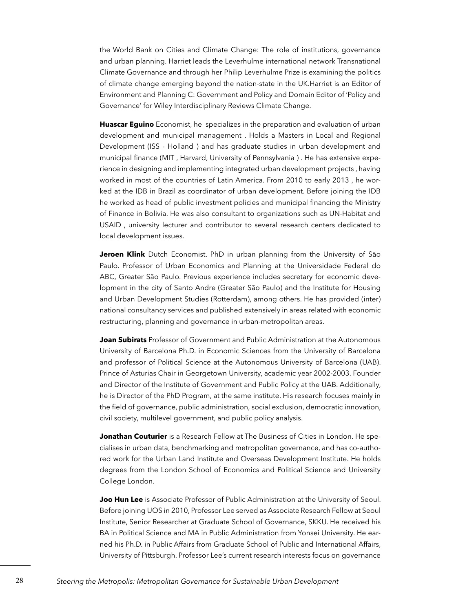the World Bank on Cities and Climate Change: The role of institutions, governance and urban planning. Harriet leads the Leverhulme international network Transnational Climate Governance and through her Philip Leverhulme Prize is examining the politics of climate change emerging beyond the nation-state in the UK.Harriet is an Editor of Environment and Planning C: Government and Policy and Domain Editor of 'Policy and Governance' for Wiley Interdisciplinary Reviews Climate Change.

**Huascar Eguino** Economist, he specializes in the preparation and evaluation of urban development and municipal management . Holds a Masters in Local and Regional Development (ISS - Holland ) and has graduate studies in urban development and municipal fnance (MIT , Harvard, University of Pennsylvania ) . He has extensive experience in designing and implementing integrated urban development projects , having worked in most of the countries of Latin America. From 2010 to early 2013 , he worked at the IDB in Brazil as coordinator of urban development. Before joining the IDB he worked as head of public investment policies and municipal fnancing the Ministry of Finance in Bolivia. He was also consultant to organizations such as UN-Habitat and USAID , university lecturer and contributor to several research centers dedicated to local development issues.

**Jeroen Klink** Dutch Economist. PhD in urban planning from the University of São Paulo. Professor of Urban Economics and Planning at the Universidade Federal do ABC, Greater São Paulo. Previous experience includes secretary for economic development in the city of Santo Andre (Greater São Paulo) and the Institute for Housing and Urban Development Studies (Rotterdam), among others. He has provided (inter) national consultancy services and published extensively in areas related with economic restructuring, planning and governance in urban-metropolitan areas.

**Joan Subirats** Professor of Government and Public Administration at the Autonomous University of Barcelona Ph.D. in Economic Sciences from the University of Barcelona and professor of Political Science at the Autonomous University of Barcelona (UAB). Prince of Asturias Chair in Georgetown University, academic year 2002-2003. Founder and Director of the Institute of Government and Public Policy at the UAB. Additionally, he is Director of the PhD Program, at the same institute. His research focuses mainly in the feld of governance, public administration, social exclusion, democratic innovation, civil society, multilevel government, and public policy analysis.

**Jonathan Couturier** is a Research Fellow at The Business of Cities in London. He specialises in urban data, benchmarking and metropolitan governance, and has co-authored work for the Urban Land Institute and Overseas Development Institute. He holds degrees from the London School of Economics and Political Science and University College London.

**Joo Hun Lee** is Associate Professor of Public Administration at the University of Seoul. Before joining UOS in 2010, Professor Lee served as Associate Research Fellow at Seoul Institute, Senior Researcher at Graduate School of Governance, SKKU. He received his BA in Political Science and MA in Public Administration from Yonsei University. He earned his Ph.D. in Public Affairs from Graduate School of Public and International Affairs, University of Pittsburgh. Professor Lee's current research interests focus on governance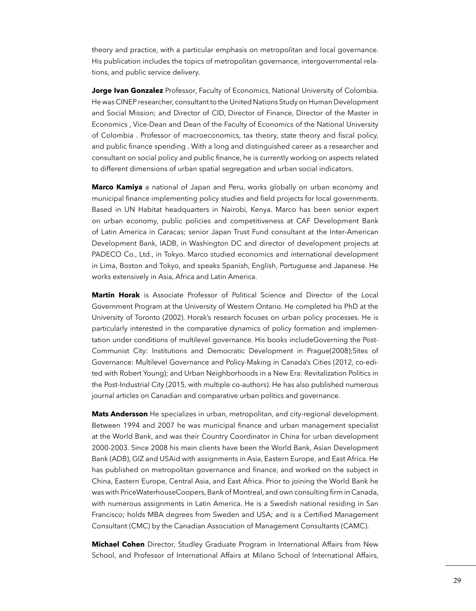theory and practice, with a particular emphasis on metropolitan and local governance. His publication includes the topics of metropolitan governance, intergovernmental relations, and public service delivery.

**Jorge Ivan Gonzalez** Professor, Faculty of Economics, National University of Colombia. He was CINEP researcher, consultant to the United Nations Study on Human Development and Social Mission; and Director of CID, Director of Finance, Director of the Master in Economics , Vice-Dean and Dean of the Faculty of Economics of the National University of Colombia . Professor of macroeconomics, tax theory, state theory and fscal policy, and public fnance spending . With a long and distinguished career as a researcher and consultant on social policy and public fnance, he is currently working on aspects related to different dimensions of urban spatial segregation and urban social indicators.

**Marco Kamiya** a national of Japan and Peru, works globally on urban economy and municipal fnance implementing policy studies and feld projects for local governments. Based in UN Habitat headquarters in Nairobi, Kenya. Marco has been senior expert on urban economy, public policies and competitiveness at CAF Development Bank of Latin America in Caracas; senior Japan Trust Fund consultant at the Inter-American Development Bank, IADB, in Washington DC and director of development projects at PADECO Co., Ltd., in Tokyo. Marco studied economics and international development in Lima, Boston and Tokyo, and speaks Spanish, English, Portuguese and Japanese. He works extensively in Asia, Africa and Latin America.

**Martin Horak** is Associate Professor of Political Science and Director of the Local Government Program at the University of Western Ontario. He completed his PhD at the University of Toronto (2002). Horak's research focuses on urban policy processes. He is particularly interested in the comparative dynamics of policy formation and implementation under conditions of multilevel governance. His books includeGoverning the Post-Communist City: Institutions and Democratic Development in Prague(2008);Sites of Governance: Multilevel Governance and Policy-Making in Canada's Cities (2012, co-edited with Robert Young); and Urban Neighborhoods in a New Era: Revitalization Politics in the Post-Industrial City (2015, with multiple co-authors). He has also published numerous journal articles on Canadian and comparative urban politics and governance.

**Mats Andersson** He specializes in urban, metropolitan, and city-regional development. Between 1994 and 2007 he was municipal fnance and urban management specialist at the World Bank, and was their Country Coordinator in China for urban development 2000-2003. Since 2008 his main clients have been the World Bank, Asian Development Bank (ADB), GIZ and USAid with assignments in Asia, Eastern Europe, and East Africa. He has published on metropolitan governance and fnance, and worked on the subject in China, Eastern Europe, Central Asia, and East Africa. Prior to joining the World Bank he was with PriceWaterhouseCoopers, Bank of Montreal, and own consulting frm in Canada, with numerous assignments in Latin America. He is a Swedish national residing in San Francisco; holds MBA degrees from Sweden and USA; and is a Certifed Management Consultant (CMC) by the Canadian Association of Management Consultants (CAMC).

**Michael Cohen** Director, Studley Graduate Program in International Affairs from New School, and Professor of International Affairs at Milano School of International Affairs,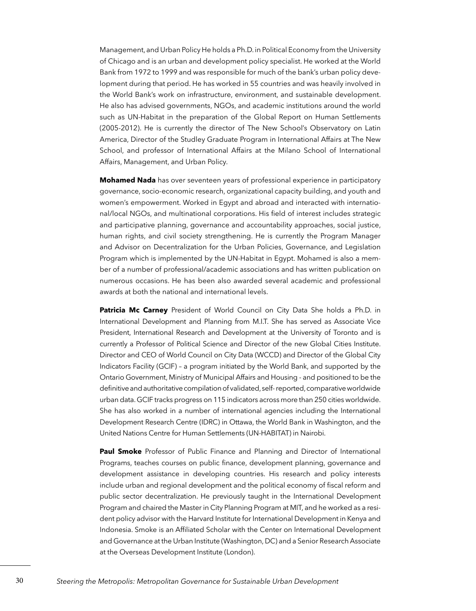Management, and Urban Policy He holds a Ph.D. in Political Economy from the University of Chicago and is an urban and development policy specialist. He worked at the World Bank from 1972 to 1999 and was responsible for much of the bank's urban policy development during that period. He has worked in 55 countries and was heavily involved in the World Bank's work on infrastructure, environment, and sustainable development. He also has advised governments, NGOs, and academic institutions around the world such as UN-Habitat in the preparation of the Global Report on Human Settlements (2005-2012). He is currently the director of The New School's Observatory on Latin America, Director of the Studley Graduate Program in International Affairs at The New School, and professor of International Affairs at the Milano School of International Affairs, Management, and Urban Policy.

**Mohamed Nada** has over seventeen years of professional experience in participatory governance, socio-economic research, organizational capacity building, and youth and women's empowerment. Worked in Egypt and abroad and interacted with international/local NGOs, and multinational corporations. His feld of interest includes strategic and participative planning, governance and accountability approaches, social justice, human rights, and civil society strengthening. He is currently the Program Manager and Advisor on Decentralization for the Urban Policies, Governance, and Legislation Program which is implemented by the UN-Habitat in Egypt. Mohamed is also a member of a number of professional/academic associations and has written publication on numerous occasions. He has been also awarded several academic and professional awards at both the national and international levels.

**Patricia Mc Carney** President of World Council on City Data She holds a Ph.D. in International Development and Planning from M.I.T. She has served as Associate Vice President, International Research and Development at the University of Toronto and is currently a Professor of Political Science and Director of the new Global Cities Institute. Director and CEO of World Council on City Data (WCCD) and Director of the Global City Indicators Facility (GCIF) – a program initiated by the World Bank, and supported by the Ontario Government, Ministry of Municipal Affairs and Housing - and positioned to be the defnitive and authoritative compilation of validated, self- reported, comparative worldwide urban data. GCIF tracks progress on 115 indicators across more than 250 cities worldwide. She has also worked in a number of international agencies including the International Development Research Centre (IDRC) in Ottawa, the World Bank in Washington, and the United Nations Centre for Human Settlements (UN-HABITAT) in Nairobi.

**Paul Smoke** Professor of Public Finance and Planning and Director of International Programs, teaches courses on public fnance, development planning, governance and development assistance in developing countries. His research and policy interests include urban and regional development and the political economy of fscal reform and public sector decentralization. He previously taught in the International Development Program and chaired the Master in City Planning Program at MIT, and he worked as a resident policy advisor with the Harvard Institute for International Development in Kenya and Indonesia. Smoke is an Affliated Scholar with the Center on International Development and Governance at the Urban Institute (Washington, DC) and a Senior Research Associate at the Overseas Development Institute (London).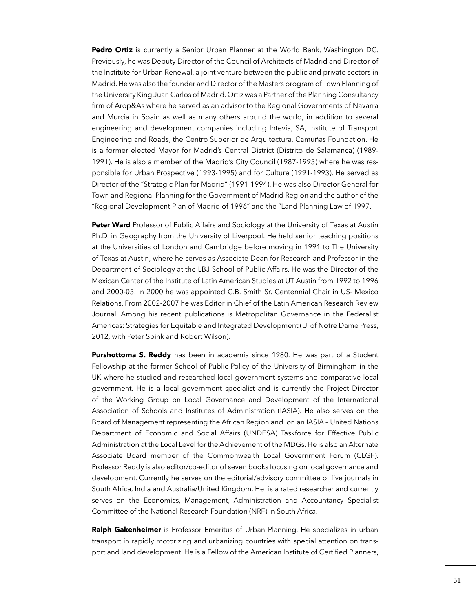**Pedro Ortiz** is currently a Senior Urban Planner at the World Bank, Washington DC. Previously, he was Deputy Director of the Council of Architects of Madrid and Director of the Institute for Urban Renewal, a joint venture between the public and private sectors in Madrid. He was also the founder and Director of the Masters program of Town Planning of the University King Juan Carlos of Madrid. Ortiz was a Partner of the Planning Consultancy firm of Arop&As where he served as an advisor to the Regional Governments of Navarra and Murcia in Spain as well as many others around the world, in addition to several engineering and development companies including Intevia, SA, Institute of Transport Engineering and Roads, the Centro Superior de Arquitectura, Camuñas Foundation. He is a former elected Mayor for Madrid's Central District (Distrito de Salamanca) (1989- 1991). He is also a member of the Madrid's City Council (1987-1995) where he was responsible for Urban Prospective (1993-1995) and for Culture (1991-1993). He served as Director of the "Strategic Plan for Madrid" (1991-1994). He was also Director General for Town and Regional Planning for the Government of Madrid Region and the author of the "Regional Development Plan of Madrid of 1996" and the "Land Planning Law of 1997.

**Peter Ward** Professor of Public Affairs and Sociology at the University of Texas at Austin Ph.D. in Geography from the University of Liverpool. He held senior teaching positions at the Universities of London and Cambridge before moving in 1991 to The University of Texas at Austin, where he serves as Associate Dean for Research and Professor in the Department of Sociology at the LBJ School of Public Affairs. He was the Director of the Mexican Center of the Institute of Latin American Studies at UT Austin from 1992 to 1996 and 2000-05. In 2000 he was appointed C.B. Smith Sr. Centennial Chair in US- Mexico Relations. From 2002-2007 he was Editor in Chief of the Latin American Research Review Journal. Among his recent publications is Metropolitan Governance in the Federalist Americas: Strategies for Equitable and Integrated Development (U. of Notre Dame Press, 2012, with Peter Spink and Robert Wilson).

**Purshottoma S. Reddy** has been in academia since 1980. He was part of a Student Fellowship at the former School of Public Policy of the University of Birmingham in the UK where he studied and researched local government systems and comparative local government. He is a local government specialist and is currently the Project Director of the Working Group on Local Governance and Development of the International Association of Schools and Institutes of Administration (IASIA). He also serves on the Board of Management representing the African Region and on an IASIA – United Nations Department of Economic and Social Affairs (UNDESA) Taskforce for Effective Public Administration at the Local Level for the Achievement of the MDGs. He is also an Alternate Associate Board member of the Commonwealth Local Government Forum (CLGF). Professor Reddy is also editor/co-editor of seven books focusing on local governance and development. Currently he serves on the editorial/advisory committee of fve journals in South Africa, India and Australia/United Kingdom. He is a rated researcher and currently serves on the Economics, Management, Administration and Accountancy Specialist Committee of the National Research Foundation (NRF) in South Africa.

**Ralph Gakenheimer** is Professor Emeritus of Urban Planning. He specializes in urban transport in rapidly motorizing and urbanizing countries with special attention on transport and land development. He is a Fellow of the American Institute of Certifed Planners,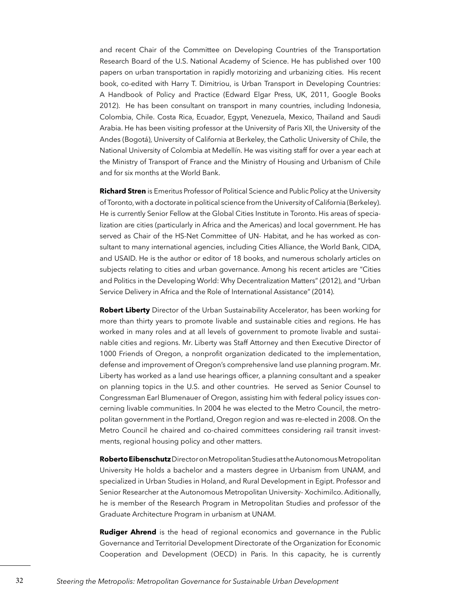and recent Chair of the Committee on Developing Countries of the Transportation Research Board of the U.S. National Academy of Science. He has published over 100 papers on urban transportation in rapidly motorizing and urbanizing cities. His recent book, co-edited with Harry T. Dimitriou, is Urban Transport in Developing Countries: A Handbook of Policy and Practice (Edward Elgar Press, UK, 2011, Google Books 2012). He has been consultant on transport in many countries, including Indonesia, Colombia, Chile. Costa Rica, Ecuador, Egypt, Venezuela, Mexico, Thailand and Saudi Arabia. He has been visiting professor at the University of Paris XII, the University of the Andes (Bogotá), University of California at Berkeley, the Catholic University of Chile, the National University of Colombia at Medellín. He was visiting staff for over a year each at the Ministry of Transport of France and the Ministry of Housing and Urbanism of Chile and for six months at the World Bank.

**Richard Stren** is Emeritus Professor of Political Science and Public Policy at the University of Toronto, with a doctorate in political science from the University of California (Berkeley). He is currently Senior Fellow at the Global Cities Institute in Toronto. His areas of specialization are cities (particularly in Africa and the Americas) and local government. He has served as Chair of the HS-Net Committee of UN- Habitat, and he has worked as consultant to many international agencies, including Cities Alliance, the World Bank, CIDA, and USAID. He is the author or editor of 18 books, and numerous scholarly articles on subjects relating to cities and urban governance. Among his recent articles are "Cities and Politics in the Developing World: Why Decentralization Matters" (2012), and "Urban Service Delivery in Africa and the Role of International Assistance" (2014).

**Robert Liberty** Director of the Urban Sustainability Accelerator, has been working for more than thirty years to promote livable and sustainable cities and regions. He has worked in many roles and at all levels of government to promote livable and sustainable cities and regions. Mr. Liberty was Staff Attorney and then Executive Director of 1000 Friends of Oregon, a nonproft organization dedicated to the implementation, defense and improvement of Oregon's comprehensive land use planning program. Mr. Liberty has worked as a land use hearings officer, a planning consultant and a speaker on planning topics in the U.S. and other countries. He served as Senior Counsel to Congressman Earl Blumenauer of Oregon, assisting him with federal policy issues concerning livable communities. In 2004 he was elected to the Metro Council, the metropolitan government in the Portland, Oregon region and was re-elected in 2008. On the Metro Council he chaired and co-chaired committees considering rail transit investments, regional housing policy and other matters.

**Roberto Eibenschutz** Director on Metropolitan Studies at the Autonomous Metropolitan University He holds a bachelor and a masters degree in Urbanism from UNAM, and specialized in Urban Studies in Holand, and Rural Development in Egipt. Professor and Senior Researcher at the Autonomous Metropolitan University- Xochimilco. Aditionally, he is member of the Research Program in Metropolitan Studies and professor of the Graduate Architecture Program in urbanism at UNAM.

**Rudiger Ahrend** is the head of regional economics and governance in the Public Governance and Territorial Development Directorate of the Organization for Economic Cooperation and Development (OECD) in Paris. In this capacity, he is currently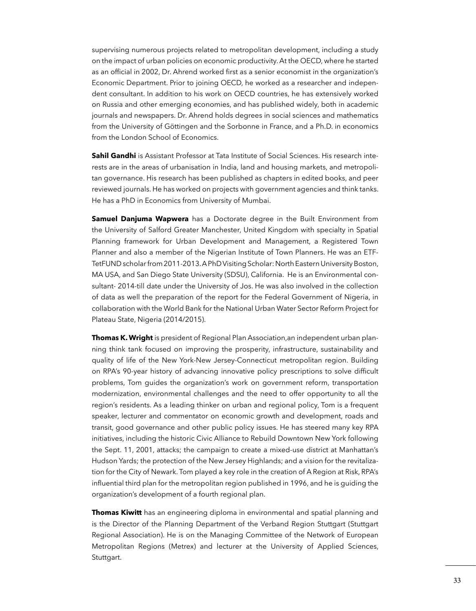supervising numerous projects related to metropolitan development, including a study on the impact of urban policies on economic productivity. At the OECD, where he started as an official in 2002, Dr. Ahrend worked first as a senior economist in the organization's Economic Department. Prior to joining OECD, he worked as a researcher and independent consultant. In addition to his work on OECD countries, he has extensively worked on Russia and other emerging economies, and has published widely, both in academic journals and newspapers. Dr. Ahrend holds degrees in social sciences and mathematics from the University of Göttingen and the Sorbonne in France, and a Ph.D. in economics from the London School of Economics.

**Sahil Gandhi** is Assistant Professor at Tata Institute of Social Sciences. His research interests are in the areas of urbanisation in India, land and housing markets, and metropolitan governance. His research has been published as chapters in edited books, and peer reviewed journals. He has worked on projects with government agencies and think tanks. He has a PhD in Economics from University of Mumbai.

**Samuel Danjuma Wapwera** has a Doctorate degree in the Built Environment from the University of Salford Greater Manchester, United Kingdom with specialty in Spatial Planning framework for Urban Development and Management, a Registered Town Planner and also a member of the Nigerian Institute of Town Planners. He was an ETF-TetFUND scholar from 2011-2013. A PhD Visiting Scholar: North Eastern University Boston, MA USA, and San Diego State University (SDSU), California. He is an Environmental consultant- 2014-till date under the University of Jos. He was also involved in the collection of data as well the preparation of the report for the Federal Government of Nigeria, in collaboration with the World Bank for the National Urban Water Sector Reform Project for Plateau State, Nigeria (2014/2015).

**Thomas K. Wright** is president of Regional Plan Association,an independent urban planning think tank focused on improving the prosperity, infrastructure, sustainability and quality of life of the New York-New Jersey-Connecticut metropolitan region. Building on RPA's 90-year history of advancing innovative policy prescriptions to solve diffcult problems, Tom guides the organization's work on government reform, transportation modernization, environmental challenges and the need to offer opportunity to all the region's residents. As a leading thinker on urban and regional policy, Tom is a frequent speaker, lecturer and commentator on economic growth and development, roads and transit, good governance and other public policy issues. He has steered many key RPA initiatives, including the historic Civic Alliance to Rebuild Downtown New York following the Sept. 11, 2001, attacks; the campaign to create a mixed-use district at Manhattan's Hudson Yards; the protection of the New Jersey Highlands; and a vision for the revitalization for the City of Newark. Tom played a key role in the creation of A Region at Risk, RPA's infuential third plan for the metropolitan region published in 1996, and he is guiding the organization's development of a fourth regional plan.

**Thomas Kiwitt** has an engineering diploma in environmental and spatial planning and is the Director of the Planning Department of the Verband Region Stuttgart (Stuttgart Regional Association). He is on the Managing Committee of the Network of European Metropolitan Regions (Metrex) and lecturer at the University of Applied Sciences, Stuttgart.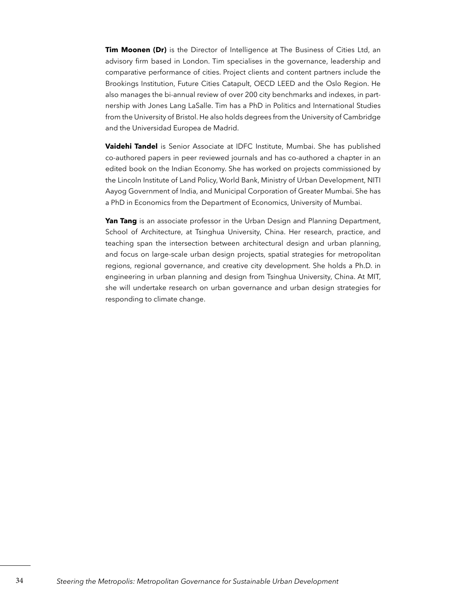**Tim Moonen (Dr)** is the Director of Intelligence at The Business of Cities Ltd, an advisory firm based in London. Tim specialises in the governance, leadership and comparative performance of cities. Project clients and content partners include the Brookings Institution, Future Cities Catapult, OECD LEED and the Oslo Region. He also manages the bi-annual review of over 200 city benchmarks and indexes, in partnership with Jones Lang LaSalle. Tim has a PhD in Politics and International Studies from the University of Bristol. He also holds degrees from the University of Cambridge and the Universidad Europea de Madrid.

**Vaidehi Tandel** is Senior Associate at IDFC Institute, Mumbai. She has published co-authored papers in peer reviewed journals and has co-authored a chapter in an edited book on the Indian Economy. She has worked on projects commissioned by the Lincoln Institute of Land Policy, World Bank, Ministry of Urban Development, NITI Aayog Government of India, and Municipal Corporation of Greater Mumbai. She has a PhD in Economics from the Department of Economics, University of Mumbai.

Yan Tang is an associate professor in the Urban Design and Planning Department, School of Architecture, at Tsinghua University, China. Her research, practice, and teaching span the intersection between architectural design and urban planning, and focus on large-scale urban design projects, spatial strategies for metropolitan regions, regional governance, and creative city development. She holds a Ph.D. in engineering in urban planning and design from Tsinghua University, China. At MIT, she will undertake research on urban governance and urban design strategies for responding to climate change.